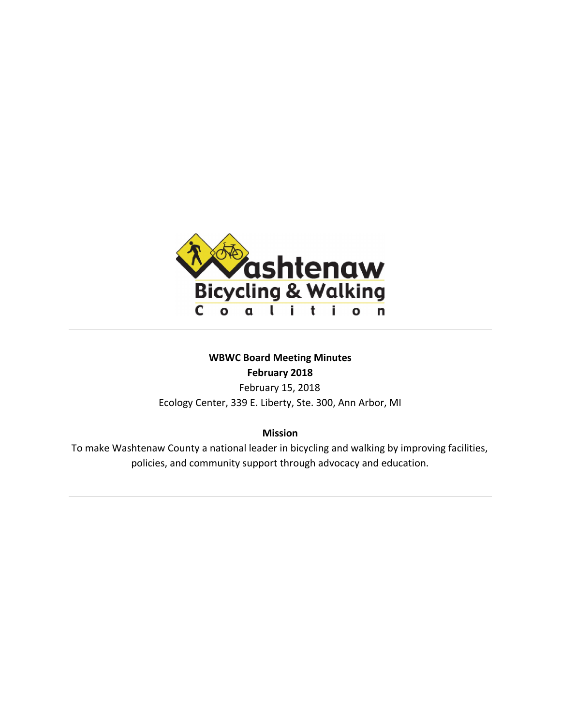

# **WBWC Board Meeting Minutes February 2018**

February 15, 2018 Ecology Center, 339 E. Liberty, Ste. 300, Ann Arbor, MI

**Mission**

To make Washtenaw County a national leader in bicycling and walking by improving facilities, policies, and community support through advocacy and education.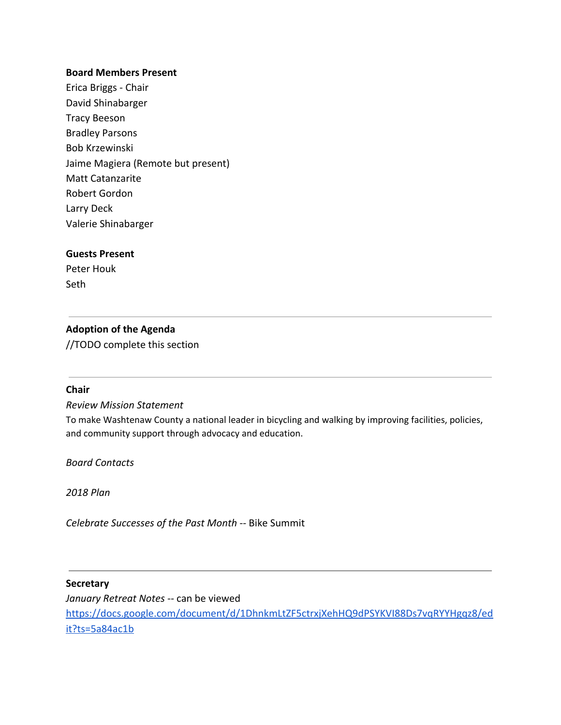#### **Board Members Present**

Erica Briggs - Chair David Shinabarger Tracy Beeson Bradley Parsons Bob Krzewinski Jaime Magiera (Remote but present) Matt Catanzarite Robert Gordon Larry Deck Valerie Shinabarger

#### **Guests Present**

Peter Houk Seth

### **Adoption of the Agenda**

//TODO complete this section

#### **Chair**

*Review Mission Statement*

To make Washtenaw County a national leader in bicycling and walking by improving facilities, policies, and community support through advocacy and education.

*Board Contacts*

*2018 Plan*

*Celebrate Successes of the Past Month --* Bike Summit

#### **Secretary**

*January Retreat Notes --* can be viewed [https://docs.google.com/document/d/1DhnkmLtZF5ctrxjXehHQ9dPSYKVI88Ds7vqRYYHgqz8/ed](https://docs.google.com/document/d/1DhnkmLtZF5ctrxjXehHQ9dPSYKVI88Ds7vqRYYHgqz8/edit?ts=5a84ac1b) [it?ts=5a84ac1b](https://docs.google.com/document/d/1DhnkmLtZF5ctrxjXehHQ9dPSYKVI88Ds7vqRYYHgqz8/edit?ts=5a84ac1b)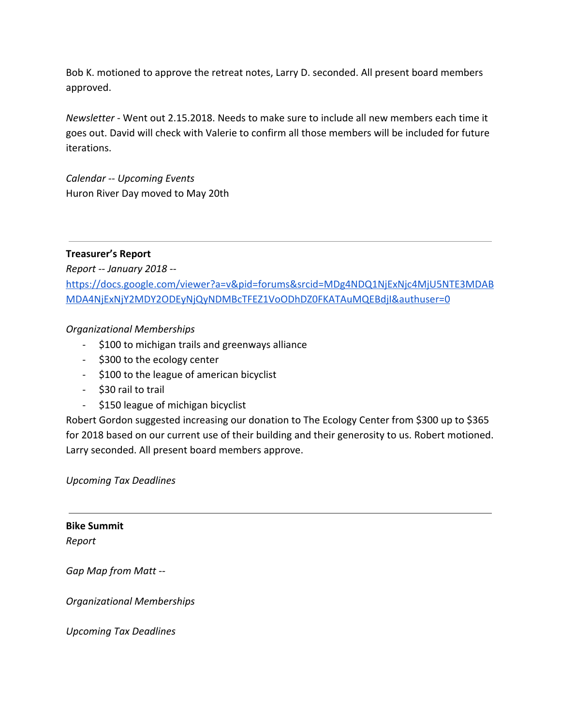Bob K. motioned to approve the retreat notes, Larry D. seconded. All present board members approved.

*Newsletter* - Went out 2.15.2018. Needs to make sure to include all new members each time it goes out. David will check with Valerie to confirm all those members will be included for future iterations.

*Calendar -- Upcoming Events* Huron River Day moved to May 20th

## **Treasurer's Report**

*Report -- January 2018* - [https://docs.google.com/viewer?a=v&pid=forums&srcid=MDg4NDQ1NjExNjc4MjU5NTE3MDAB](https://docs.google.com/viewer?a=v&pid=forums&srcid=MDg4NDQ1NjExNjc4MjU5NTE3MDABMDA4NjExNjY2MDY2ODEyNjQyNDMBcTFEZ1VoODhDZ0FKATAuMQEBdjI&authuser=0) [MDA4NjExNjY2MDY2ODEyNjQyNDMBcTFEZ1VoODhDZ0FKATAuMQEBdjI&authuser=0](https://docs.google.com/viewer?a=v&pid=forums&srcid=MDg4NDQ1NjExNjc4MjU5NTE3MDABMDA4NjExNjY2MDY2ODEyNjQyNDMBcTFEZ1VoODhDZ0FKATAuMQEBdjI&authuser=0)

## *Organizational Memberships*

- \$100 to michigan trails and greenways alliance
- \$300 to the ecology center
- \$100 to the league of american bicyclist
- \$30 rail to trail
- \$150 league of michigan bicyclist

Robert Gordon suggested increasing our donation to The Ecology Center from \$300 up to \$365 for 2018 based on our current use of their building and their generosity to us. Robert motioned. Larry seconded. All present board members approve.

*Upcoming Tax Deadlines*

**Bike Summit** *Report*

*Gap Map from Matt --*

*Organizational Memberships*

*Upcoming Tax Deadlines*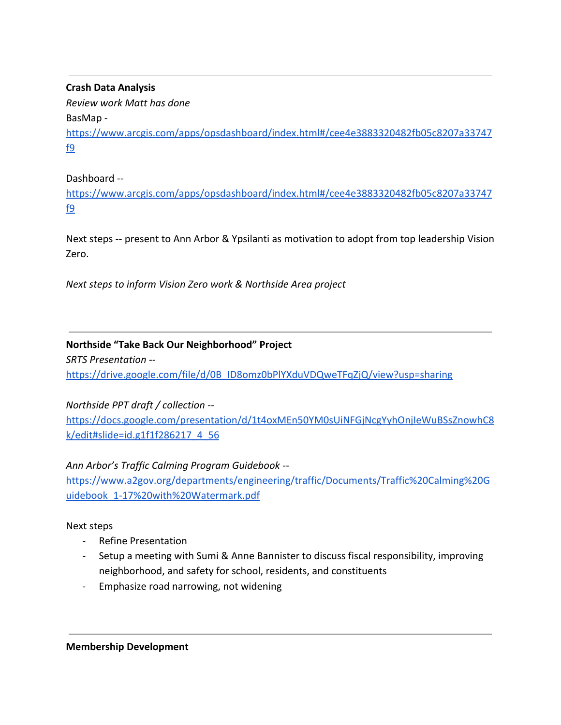**Crash Data Analysis**

*Review work Matt has done* BasMap [https://www.arcgis.com/apps/opsdashboard/index.html#/cee4e3883320482fb05c8207a33747](https://www.arcgis.com/apps/opsdashboard/index.html#/cee4e3883320482fb05c8207a33747f9) [f9](https://www.arcgis.com/apps/opsdashboard/index.html#/cee4e3883320482fb05c8207a33747f9)

Dashboard --

[https://www.arcgis.com/apps/opsdashboard/index.html#/cee4e3883320482fb05c8207a33747](https://www.arcgis.com/apps/opsdashboard/index.html#/cee4e3883320482fb05c8207a33747f9) [f9](https://www.arcgis.com/apps/opsdashboard/index.html#/cee4e3883320482fb05c8207a33747f9)

Next steps -- present to Ann Arbor & Ypsilanti as motivation to adopt from top leadership Vision Zero.

*Next steps to inform Vision Zero work & Northside Area project*

# **Northside "Take Back Our Neighborhood" Project**

*SRTS Presentation -* [https://drive.google.com/file/d/0B\\_ID8omz0bPlYXduVDQweTFqZjQ/view?usp=sharing](https://drive.google.com/file/d/0B_ID8omz0bPlYXduVDQweTFqZjQ/view?usp=sharing)

*Northside PPT draft / collection --*

[https://docs.google.com/presentation/d/1t4oxMEn50YM0sUiNFGjNcgYyhOnjIeWuBSsZnowhC8](https://docs.google.com/presentation/d/1t4oxMEn50YM0sUiNFGjNcgYyhOnjIeWuBSsZnowhC8k/edit#slide=id.g1f1f286217_4_56) [k/edit#slide=id.g1f1f286217\\_4\\_56](https://docs.google.com/presentation/d/1t4oxMEn50YM0sUiNFGjNcgYyhOnjIeWuBSsZnowhC8k/edit#slide=id.g1f1f286217_4_56)

# *Ann Arbor's Traffic Calming Program Guidebook --*

[https://www.a2gov.org/departments/engineering/traffic/Documents/Traffic%20Calming%20G](https://www.a2gov.org/departments/engineering/traffic/Documents/Traffic%20Calming%20Guidebook_1-17%20with%20Watermark.pdf) [uidebook\\_1-17%20with%20Watermark.pdf](https://www.a2gov.org/departments/engineering/traffic/Documents/Traffic%20Calming%20Guidebook_1-17%20with%20Watermark.pdf)

# Next steps

- Refine Presentation
- Setup a meeting with Sumi & Anne Bannister to discuss fiscal responsibility, improving neighborhood, and safety for school, residents, and constituents
- Emphasize road narrowing, not widening

**Membership Development**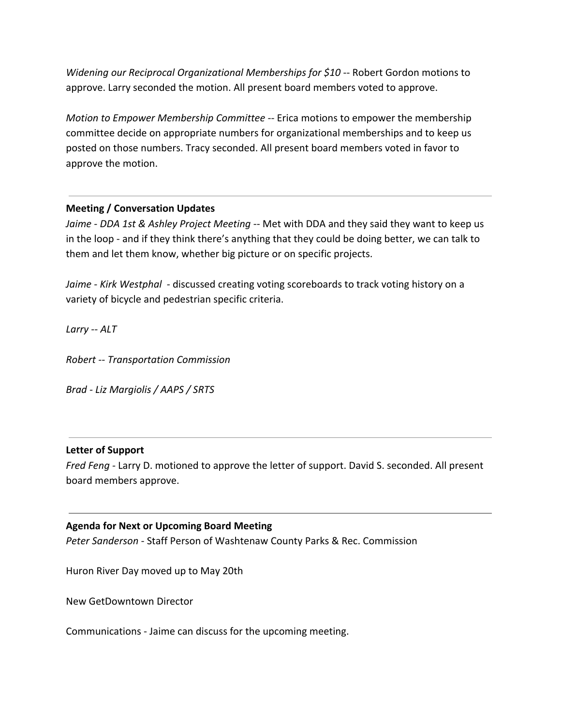*Widening our Reciprocal Organizational Memberships for \$10* -- Robert Gordon motions to approve. Larry seconded the motion. All present board members voted to approve.

*Motion to Empower Membership Committee --* Erica motions to empower the membership committee decide on appropriate numbers for organizational memberships and to keep us posted on those numbers. Tracy seconded. All present board members voted in favor to approve the motion.

## **Meeting / Conversation Updates**

Jaime - DDA 1st & Ashley Project Meeting -- Met with DDA and they said they want to keep us in the loop - and if they think there's anything that they could be doing better, we can talk to them and let them know, whether big picture or on specific projects.

*Jaime - Kirk Westphal -* discussed creating voting scoreboards to track voting history on a variety of bicycle and pedestrian specific criteria.

*Larry -- ALT*

*Robert -- Transportation Commission*

*Brad - Liz Margiolis / AAPS / SRTS*

### **Letter of Support**

*Fred Feng -* Larry D. motioned to approve the letter of support. David S. seconded. All present board members approve.

### **Agenda for Next or Upcoming Board Meeting**

*Peter Sanderson -* Staff Person of Washtenaw County Parks & Rec. Commission

Huron River Day moved up to May 20th

New GetDowntown Director

Communications - Jaime can discuss for the upcoming meeting.